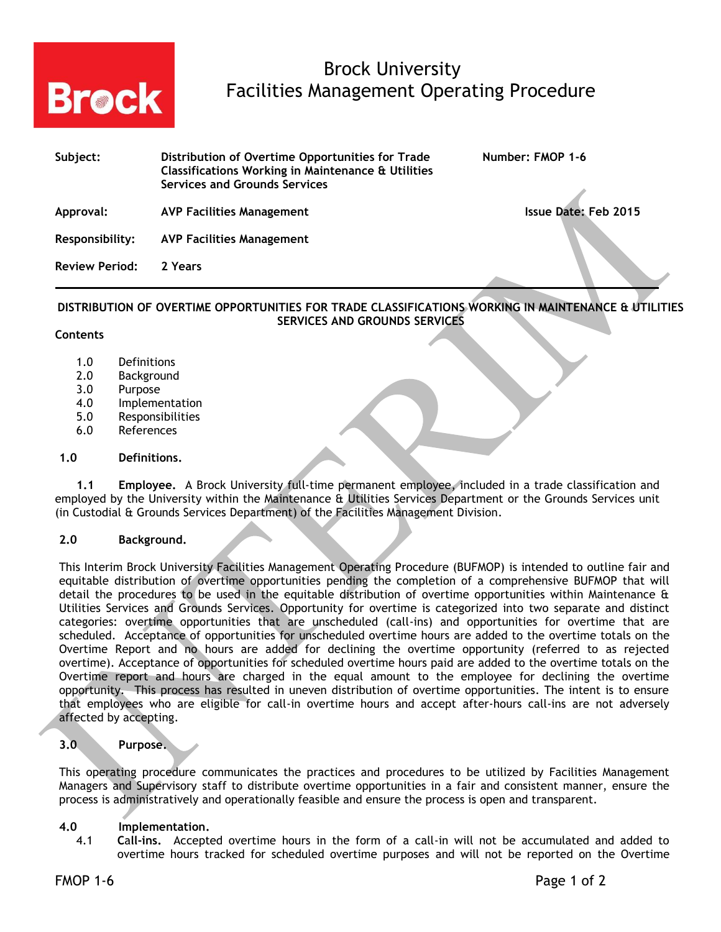

# Brock University **Brock** Facilities Management Operating Procedure

| Subject:              | Distribution of Overtime Opportunities for Trade<br>Classifications Working in Maintenance & Utilities<br><b>Services and Grounds Services</b> | Number: FMOP 1-6     |
|-----------------------|------------------------------------------------------------------------------------------------------------------------------------------------|----------------------|
| Approval:             | <b>AVP Facilities Management</b>                                                                                                               | Issue Date: Feb 2015 |
| Responsibility:       | AVP Facilities Management                                                                                                                      |                      |
| <b>Review Period:</b> | 2 Years                                                                                                                                        |                      |

## **DISTRIBUTION OF OVERTIME OPPORTUNITIES FOR TRADE CLASSIFICATIONS WORKING IN MAINTENANCE & UTILITIES SERVICES AND GROUNDS SERVICES**

### **Contents**

- 1.0 Definitions
- 2.0 Background
- 3.0 Purpose
- 4.0 Implementation
- 5.0 Responsibilities
- 6.0 References

### **1.0 Definitions.**

**1.1 Employee.** A Brock University full-time permanent employee, included in a trade classification and employed by the University within the Maintenance & Utilities Services Department or the Grounds Services unit (in Custodial & Grounds Services Department) of the Facilities Management Division.

## **2.0 Background.**

This Interim Brock University Facilities Management Operating Procedure (BUFMOP) is intended to outline fair and equitable distribution of overtime opportunities pending the completion of a comprehensive BUFMOP that will detail the procedures to be used in the equitable distribution of overtime opportunities within Maintenance & Utilities Services and Grounds Services. Opportunity for overtime is categorized into two separate and distinct categories: overtime opportunities that are unscheduled (call-ins) and opportunities for overtime that are scheduled. Acceptance of opportunities for unscheduled overtime hours are added to the overtime totals on the Overtime Report and no hours are added for declining the overtime opportunity (referred to as rejected overtime). Acceptance of opportunities for scheduled overtime hours paid are added to the overtime totals on the Overtime report and hours are charged in the equal amount to the employee for declining the overtime opportunity. This process has resulted in uneven distribution of overtime opportunities. The intent is to ensure that employees who are eligible for call-in overtime hours and accept after-hours call-ins are not adversely affected by accepting.

## **3.0 Purpose.**

This operating procedure communicates the practices and procedures to be utilized by Facilities Management Managers and Supervisory staff to distribute overtime opportunities in a fair and consistent manner, ensure the process is administratively and operationally feasible and ensure the process is open and transparent.

### **4.0 Implementation.**

4.1 **C**a**ll-ins.** Accepted overtime hours in the form of a call-in will not be accumulated and added to overtime hours tracked for scheduled overtime purposes and will not be reported on the Overtime